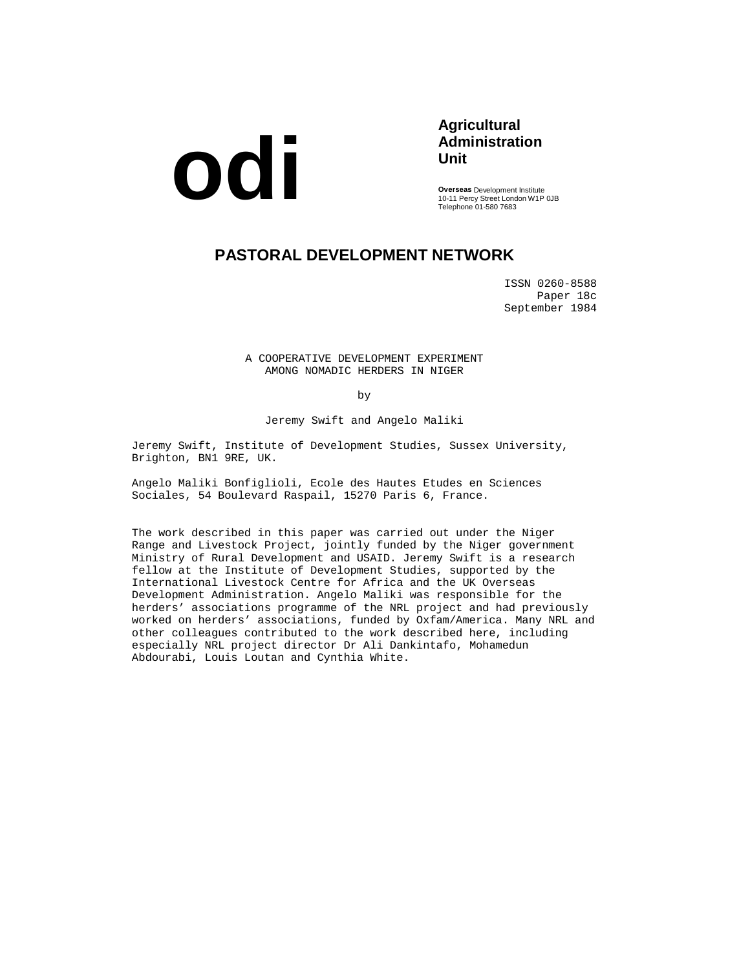

## **Agricultural Administration Unit**

**Overseas** Development Institute 10-11 Percy Street London W1P 0JB Telephone 01-580 7683

# **PASTORAL DEVELOPMENT NETWORK**

ISSN 0260-8588 Paper 18c September 1984

A COOPERATIVE DEVELOPMENT EXPERIMENT AMONG NOMADIC HERDERS IN NIGER

by

Jeremy Swift and Angelo Maliki

Jeremy Swift, Institute of Development Studies, Sussex University, Brighton, BN1 9RE, UK.

Angelo Maliki Bonfiglioli, Ecole des Hautes Etudes en Sciences Sociales, 54 Boulevard Raspail, 15270 Paris 6, France.

The work described in this paper was carried out under the Niger Range and Livestock Project, jointly funded by the Niger government Ministry of Rural Development and USAID. Jeremy Swift is a research fellow at the Institute of Development Studies, supported by the International Livestock Centre for Africa and the UK Overseas Development Administration. Angelo Maliki was responsible for the herders' associations programme of the NRL project and had previously worked on herders' associations, funded by Oxfam/America. Many NRL and other colleagues contributed to the work described here, including especially NRL project director Dr Ali Dankintafo, Mohamedun Abdourabi, Louis Loutan and Cynthia White.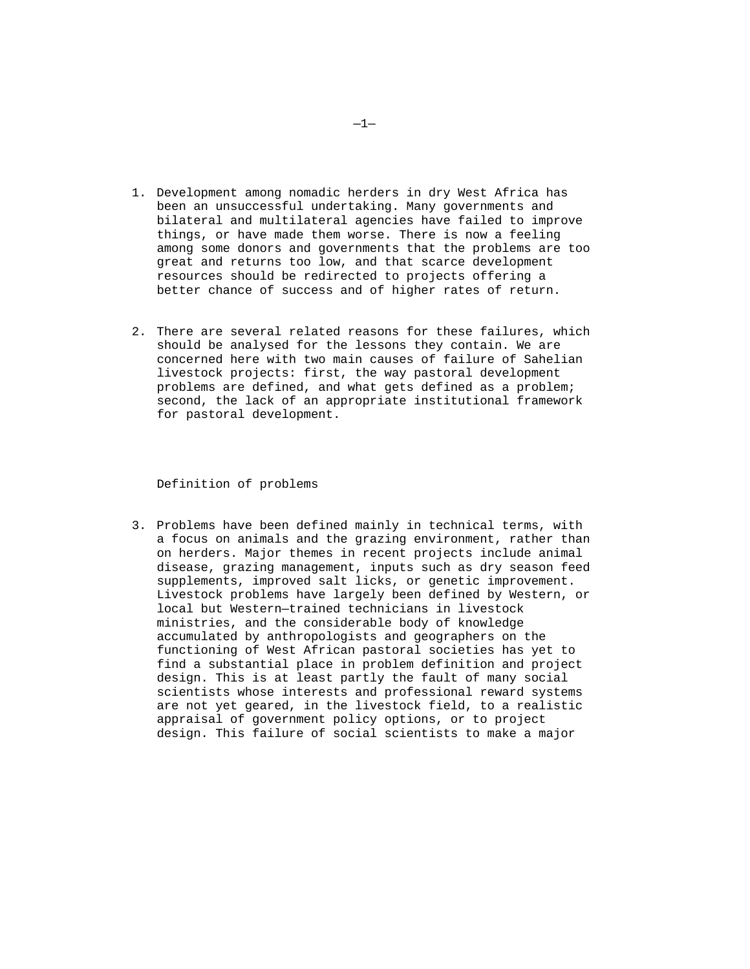- 1. Development among nomadic herders in dry West Africa has been an unsuccessful undertaking. Many governments and bilateral and multilateral agencies have failed to improve things, or have made them worse. There is now a feeling among some donors and governments that the problems are too great and returns too low, and that scarce development resources should be redirected to projects offering a better chance of success and of higher rates of return.
- 2. There are several related reasons for these failures, which should be analysed for the lessons they contain. We are concerned here with two main causes of failure of Sahelian livestock projects: first, the way pastoral development problems are defined, and what gets defined as a problem; second, the lack of an appropriate institutional framework for pastoral development.

Definition of problems

3. Problems have been defined mainly in technical terms, with a focus on animals and the grazing environment, rather than on herders. Major themes in recent projects include animal disease, grazing management, inputs such as dry season feed supplements, improved salt licks, or genetic improvement. Livestock problems have largely been defined by Western, or local but Western—trained technicians in livestock ministries, and the considerable body of knowledge accumulated by anthropologists and geographers on the functioning of West African pastoral societies has yet to find a substantial place in problem definition and project design. This is at least partly the fault of many social scientists whose interests and professional reward systems are not yet geared, in the livestock field, to a realistic appraisal of government policy options, or to project design. This failure of social scientists to make a major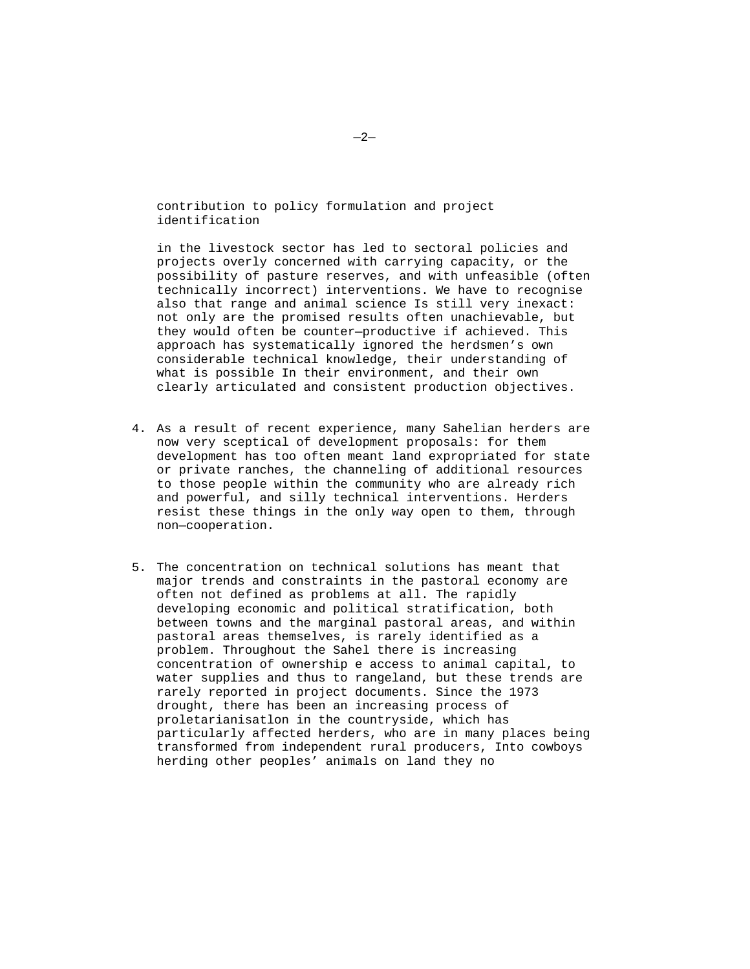contribution to policy formulation and project identification

in the livestock sector has led to sectoral policies and projects overly concerned with carrying capacity, or the possibility of pasture reserves, and with unfeasible (often technically incorrect) interventions. We have to recognise also that range and animal science Is still very inexact: not only are the promised results often unachievable, but they would often be counter—productive if achieved. This approach has systematically ignored the herdsmen's own considerable technical knowledge, their understanding of what is possible In their environment, and their own clearly articulated and consistent production objectives.

- 4. As a result of recent experience, many Sahelian herders are now very sceptical of development proposals: for them development has too often meant land expropriated for state or private ranches, the channeling of additional resources to those people within the community who are already rich and powerful, and silly technical interventions. Herders resist these things in the only way open to them, through non—cooperation.
- 5. The concentration on technical solutions has meant that major trends and constraints in the pastoral economy are often not defined as problems at all. The rapidly developing economic and political stratification, both between towns and the marginal pastoral areas, and within pastoral areas themselves, is rarely identified as a problem. Throughout the Sahel there is increasing concentration of ownership e access to animal capital, to water supplies and thus to rangeland, but these trends are rarely reported in project documents. Since the 1973 drought, there has been an increasing process of proletarianisatlon in the countryside, which has particularly affected herders, who are in many places being transformed from independent rural producers, Into cowboys herding other peoples' animals on land they no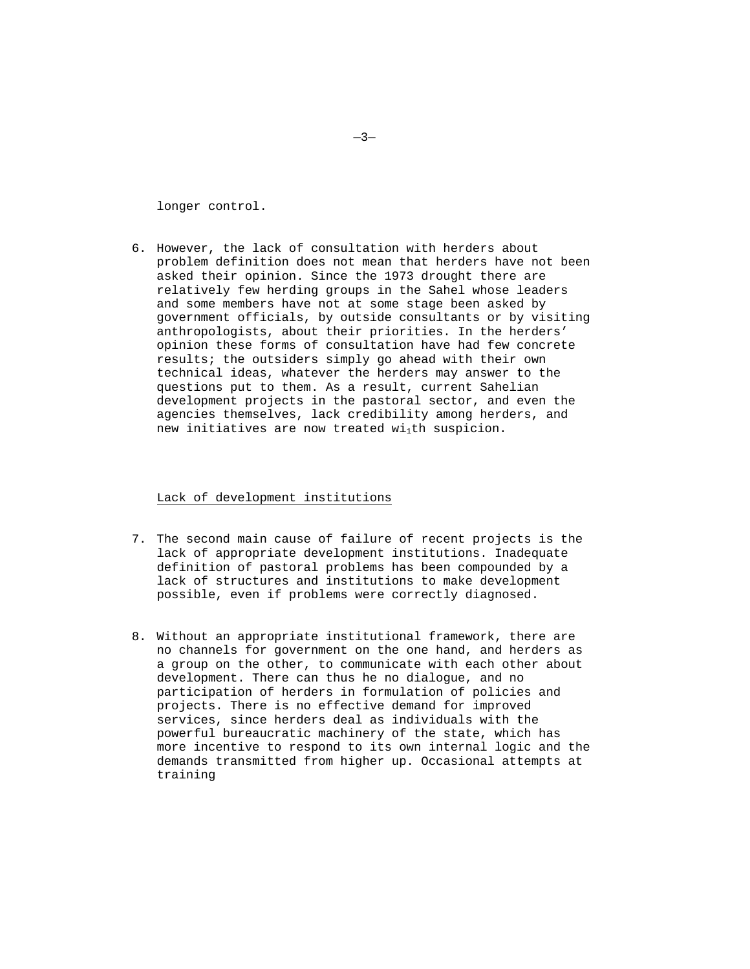longer control.

6. However, the lack of consultation with herders about problem definition does not mean that herders have not been asked their opinion. Since the 1973 drought there are relatively few herding groups in the Sahel whose leaders and some members have not at some stage been asked by government officials, by outside consultants or by visiting anthropologists, about their priorities. In the herders' opinion these forms of consultation have had few concrete results; the outsiders simply go ahead with their own technical ideas, whatever the herders may answer to the questions put to them. As a result, current Sahelian development projects in the pastoral sector, and even the agencies themselves, lack credibility among herders, and new initiatives are now treated wi<sub>1</sub>th suspicion.

Lack of development institutions

- 7. The second main cause of failure of recent projects is the lack of appropriate development institutions. Inadequate definition of pastoral problems has been compounded by a lack of structures and institutions to make development possible, even if problems were correctly diagnosed.
- 8. Without an appropriate institutional framework, there are no channels for government on the one hand, and herders as a group on the other, to communicate with each other about development. There can thus he no dialogue, and no participation of herders in formulation of policies and projects. There is no effective demand for improved services, since herders deal as individuals with the powerful bureaucratic machinery of the state, which has more incentive to respond to its own internal logic and the demands transmitted from higher up. Occasional attempts at training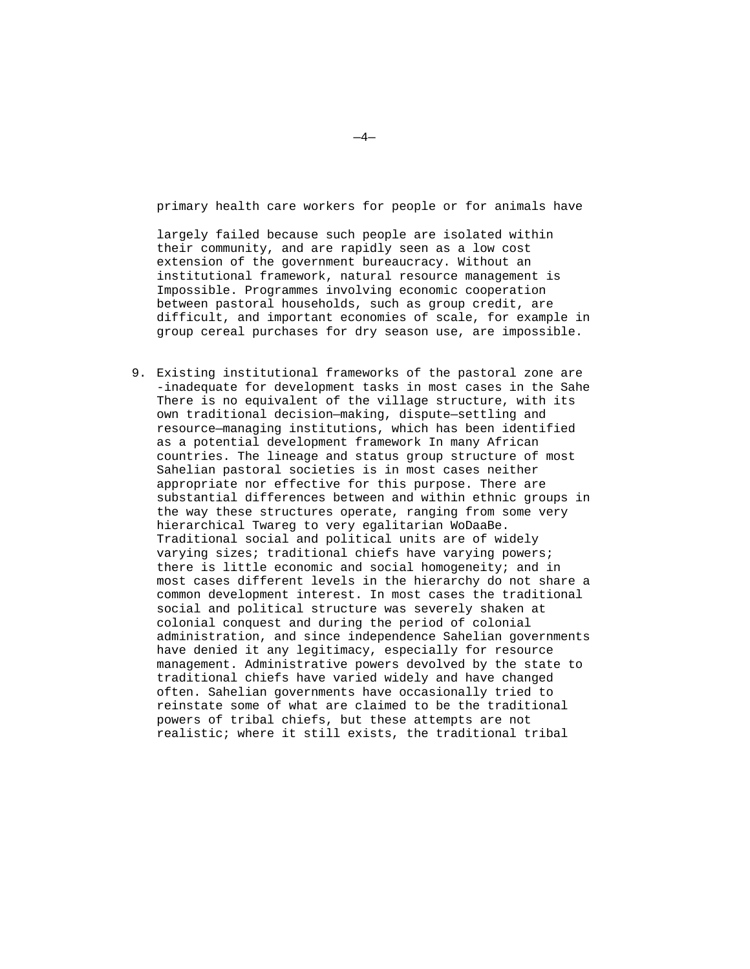primary health care workers for people or for animals have

largely failed because such people are isolated within their community, and are rapidly seen as a low cost extension of the government bureaucracy. Without an institutional framework, natural resource management is Impossible. Programmes involving economic cooperation between pastoral households, such as group credit, are difficult, and important economies of scale, for example in group cereal purchases for dry season use, are impossible.

9. Existing institutional frameworks of the pastoral zone are -inadequate for development tasks in most cases in the Sahe There is no equivalent of the village structure, with its own traditional decision—making, dispute—settling and resource—managing institutions, which has been identified as a potential development framework In many African countries. The lineage and status group structure of most Sahelian pastoral societies is in most cases neither appropriate nor effective for this purpose. There are substantial differences between and within ethnic groups in the way these structures operate, ranging from some very hierarchical Twareg to very egalitarian WoDaaBe. Traditional social and political units are of widely varying sizes; traditional chiefs have varying powers; there is little economic and social homogeneity; and in most cases different levels in the hierarchy do not share a common development interest. In most cases the traditional social and political structure was severely shaken at colonial conquest and during the period of colonial administration, and since independence Sahelian governments have denied it any legitimacy, especially for resource management. Administrative powers devolved by the state to traditional chiefs have varied widely and have changed often. Sahelian governments have occasionally tried to reinstate some of what are claimed to be the traditional powers of tribal chiefs, but these attempts are not realistic; where it still exists, the traditional tribal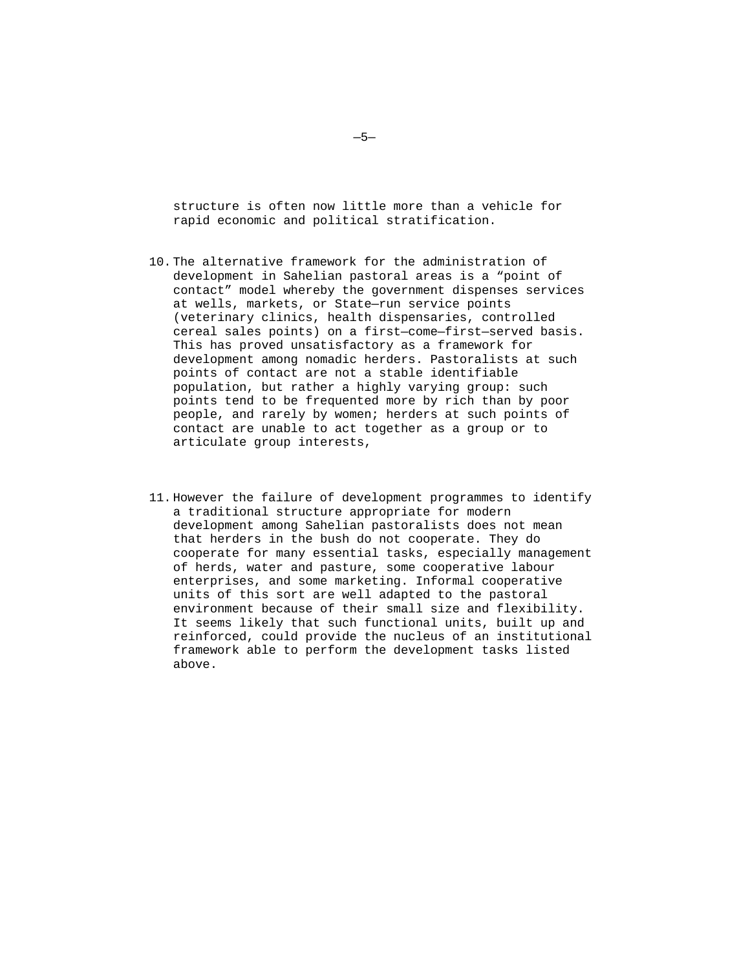structure is often now little more than a vehicle for rapid economic and political stratification.

- 10. The alternative framework for the administration of development in Sahelian pastoral areas is a "point of contact" model whereby the government dispenses services at wells, markets, or State—run service points (veterinary clinics, health dispensaries, controlled cereal sales points) on a first—come—first—served basis. This has proved unsatisfactory as a framework for development among nomadic herders. Pastoralists at such points of contact are not a stable identifiable population, but rather a highly varying group: such points tend to be frequented more by rich than by poor people, and rarely by women; herders at such points of contact are unable to act together as a group or to articulate group interests,
- 11. However the failure of development programmes to identify a traditional structure appropriate for modern development among Sahelian pastoralists does not mean that herders in the bush do not cooperate. They do cooperate for many essential tasks, especially management of herds, water and pasture, some cooperative labour enterprises, and some marketing. Informal cooperative units of this sort are well adapted to the pastoral environment because of their small size and flexibility. It seems likely that such functional units, built up and reinforced, could provide the nucleus of an institutional framework able to perform the development tasks listed above.

—5—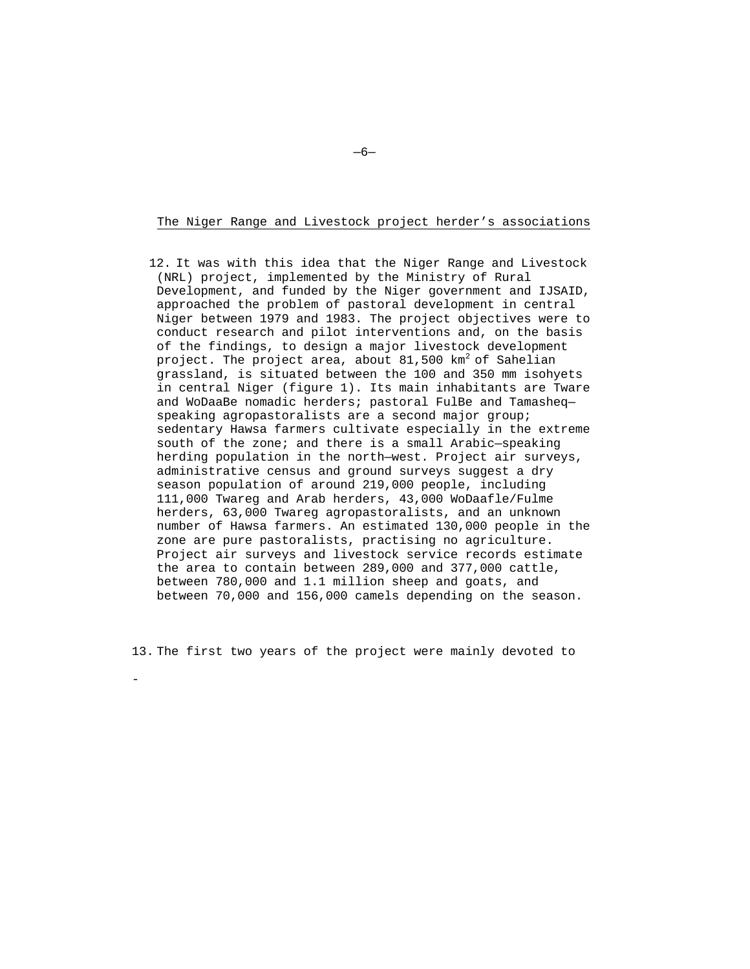#### The Niger Range and Livestock project herder's associations

12. It was with this idea that the Niger Range and Livestock (NRL) project, implemented by the Ministry of Rural Development, and funded by the Niger government and IJSAID, approached the problem of pastoral development in central Niger between 1979 and 1983. The project objectives were to conduct research and pilot interventions and, on the basis of the findings, to design a major livestock development project. The project area, about  $81,500$  km<sup>2</sup> of Sahelian grassland, is situated between the 100 and 350 mm isohyets in central Niger (figure 1). Its main inhabitants are Tware and WoDaaBe nomadic herders; pastoral FulBe and Tamasheq speaking agropastoralists are a second major group; sedentary Hawsa farmers cultivate especially in the extreme south of the zone; and there is a small Arabic—speaking herding population in the north—west. Project air surveys, administrative census and ground surveys suggest a dry season population of around 219,000 people, including 111,000 Twareg and Arab herders, 43,000 WoDaafle/Fulme herders, 63,000 Twareg agropastoralists, and an unknown number of Hawsa farmers. An estimated 130,000 people in the zone are pure pastoralists, practising no agriculture. Project air surveys and livestock service records estimate the area to contain between 289,000 and 377,000 cattle, between 780,000 and 1.1 million sheep and goats, and between 70,000 and 156,000 camels depending on the season.

13. The first two years of the project were mainly devoted to

-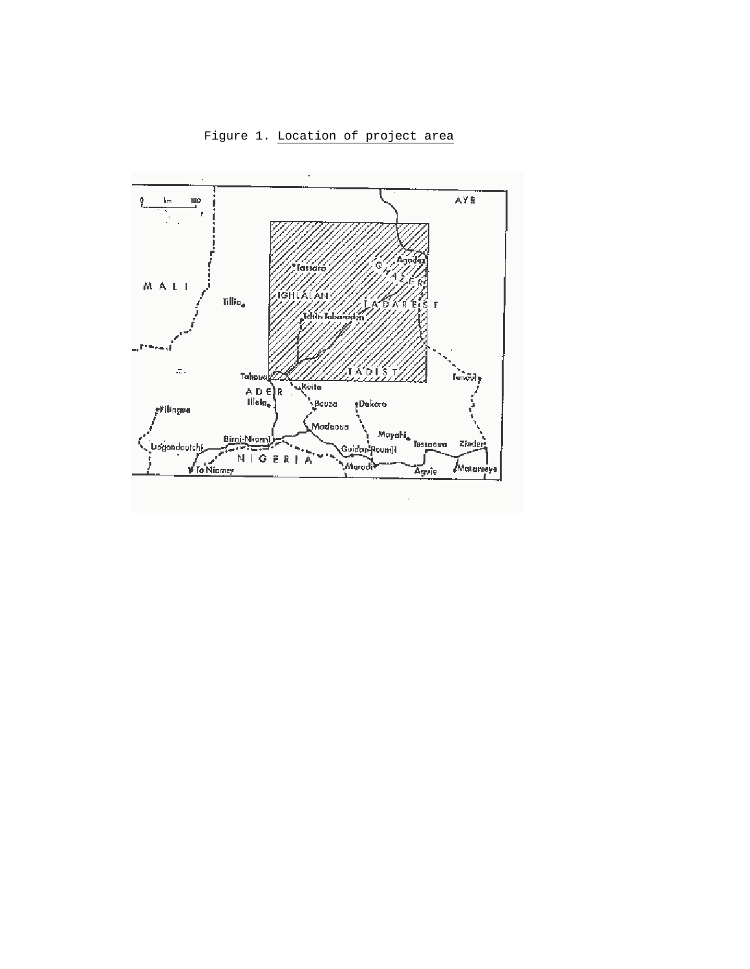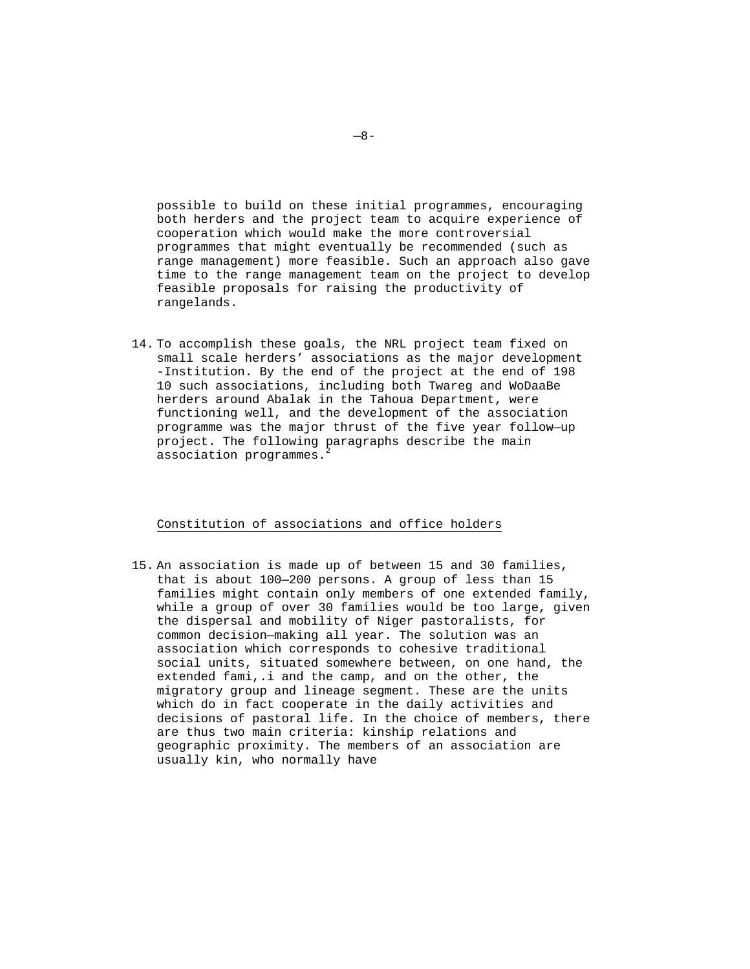possible to build on these initial programmes, encouraging both herders and the project team to acquire experience of cooperation which would make the more controversial programmes that might eventually be recommended (such as range management) more feasible. Such an approach also gave time to the range management team on the project to develop feasible proposals for raising the productivity of rangelands.

14. To accomplish these goals, the NRL project team fixed on small scale herders' associations as the major development -Institution. By the end of the project at the end of 198 10 such associations, including both Twareg and WoDaaBe herders around Abalak in the Tahoua Department, were functioning well, and the development of the association programme was the major thrust of the five year follow—up project. The following paragraphs describe the main association programmes.

## Constitution of associations and office holders

15. An association is made up of between 15 and 30 families, that is about 100—200 persons. A group of less than 15 families might contain only members of one extended family, while a group of over 30 families would be too large, given the dispersal and mobility of Niger pastoralists, for common decision—making all year. The solution was an association which corresponds to cohesive traditional social units, situated somewhere between, on one hand, the extended fami,.i and the camp, and on the other, the migratory group and lineage segment. These are the units which do in fact cooperate in the daily activities and decisions of pastoral life. In the choice of members, there are thus two main criteria: kinship relations and geographic proximity. The members of an association are usually kin, who normally have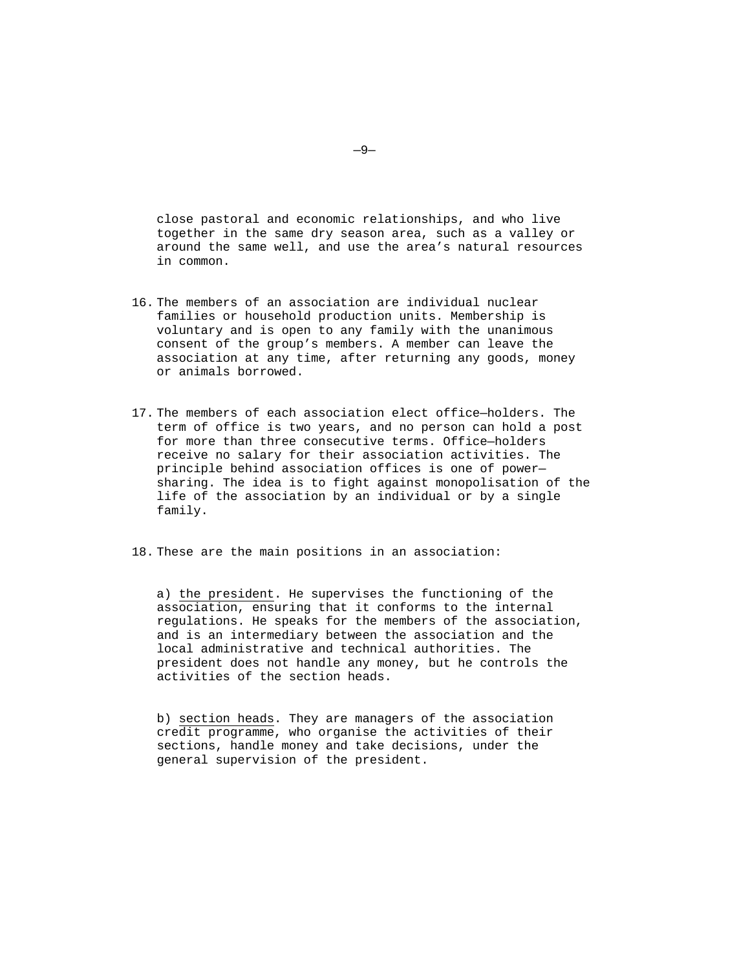close pastoral and economic relationships, and who live together in the same dry season area, such as a valley or around the same well, and use the area's natural resources in common.

- 16. The members of an association are individual nuclear families or household production units. Membership is voluntary and is open to any family with the unanimous consent of the group's members. A member can leave the association at any time, after returning any goods, money or animals borrowed.
- 17. The members of each association elect office—holders. The term of office is two years, and no person can hold a post for more than three consecutive terms. Office—holders receive no salary for their association activities. The principle behind association offices is one of power sharing. The idea is to fight against monopolisation of the life of the association by an individual or by a single family.
- 18. These are the main positions in an association:

a) the president. He supervises the functioning of the association, ensuring that it conforms to the internal regulations. He speaks for the members of the association, and is an intermediary between the association and the local administrative and technical authorities. The president does not handle any money, but he controls the activities of the section heads.

b) section heads. They are managers of the association credit programme, who organise the activities of their sections, handle money and take decisions, under the general supervision of the president.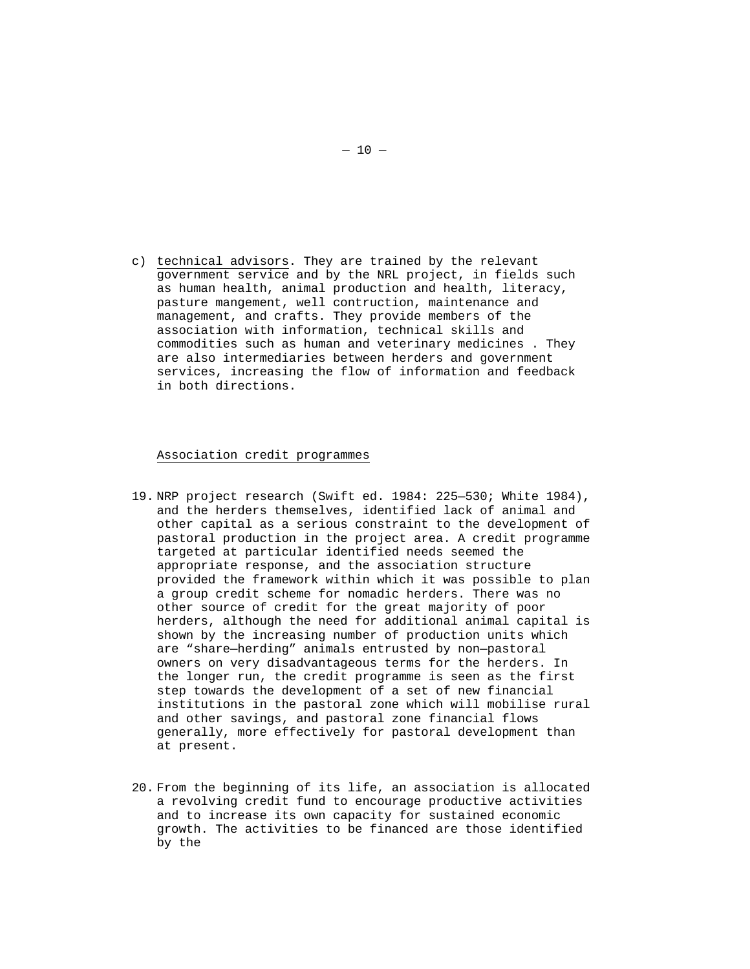c) technical advisors. They are trained by the relevant government service and by the NRL project, in fields such as human health, animal production and health, literacy, pasture mangement, well contruction, maintenance and management, and crafts. They provide members of the association with information, technical skills and commodities such as human and veterinary medicines . They are also intermediaries between herders and government services, increasing the flow of information and feedback in both directions.

#### Association credit programmes

- 19. NRP project research (Swift ed. 1984: 225—530; White 1984), and the herders themselves, identified lack of animal and other capital as a serious constraint to the development of pastoral production in the project area. A credit programme targeted at particular identified needs seemed the appropriate response, and the association structure provided the framework within which it was possible to plan a group credit scheme for nomadic herders. There was no other source of credit for the great majority of poor herders, although the need for additional animal capital is shown by the increasing number of production units which are "share—herding" animals entrusted by non—pastoral owners on very disadvantageous terms for the herders. In the longer run, the credit programme is seen as the first step towards the development of a set of new financial institutions in the pastoral zone which will mobilise rural and other savings, and pastoral zone financial flows generally, more effectively for pastoral development than at present.
- 20. From the beginning of its life, an association is allocated a revolving credit fund to encourage productive activities and to increase its own capacity for sustained economic growth. The activities to be financed are those identified by the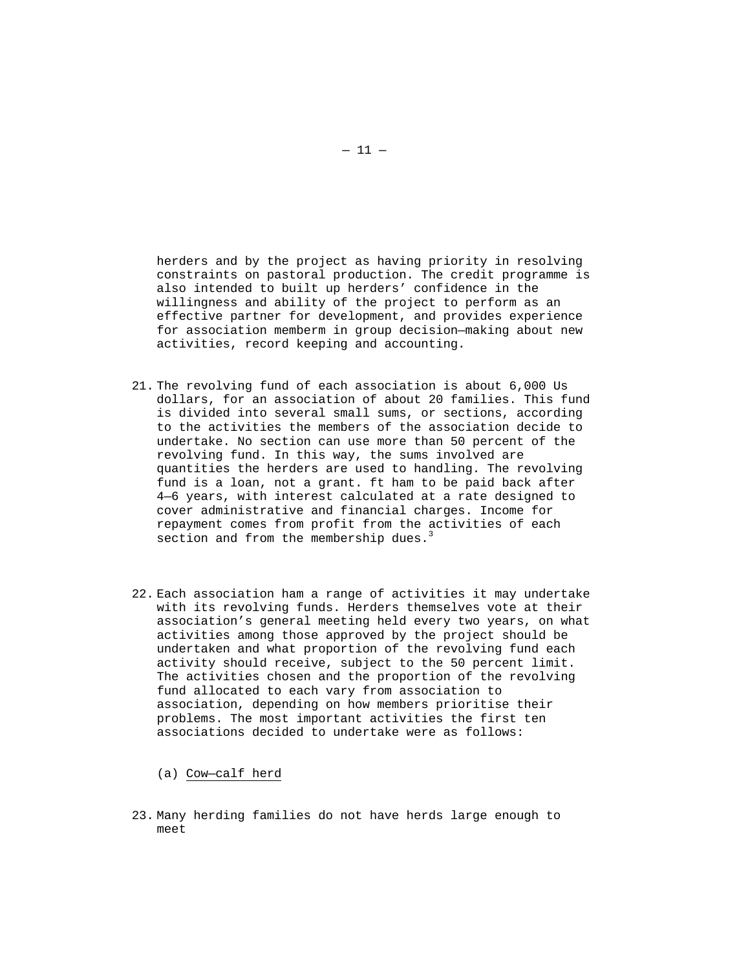herders and by the project as having priority in resolving constraints on pastoral production. The credit programme is also intended to built up herders' confidence in the willingness and ability of the project to perform as an effective partner for development, and provides experience for association memberm in group decision—making about new activities, record keeping and accounting.

- 21. The revolving fund of each association is about 6,000 Us dollars, for an association of about 20 families. This fund is divided into several small sums, or sections, according to the activities the members of the association decide to undertake. No section can use more than 50 percent of the revolving fund. In this way, the sums involved are quantities the herders are used to handling. The revolving fund is a loan, not a grant. ft ham to be paid back after 4—6 years, with interest calculated at a rate designed to cover administrative and financial charges. Income for repayment comes from profit from the activities of each section and from the membership dues.<sup>3</sup>
- 22. Each association ham a range of activities it may undertake with its revolving funds. Herders themselves vote at their association's general meeting held every two years, on what activities among those approved by the project should be undertaken and what proportion of the revolving fund each activity should receive, subject to the 50 percent limit. The activities chosen and the proportion of the revolving fund allocated to each vary from association to association, depending on how members prioritise their problems. The most important activities the first ten associations decided to undertake were as follows:

(a) Cow—calf herd

23. Many herding families do not have herds large enough to meet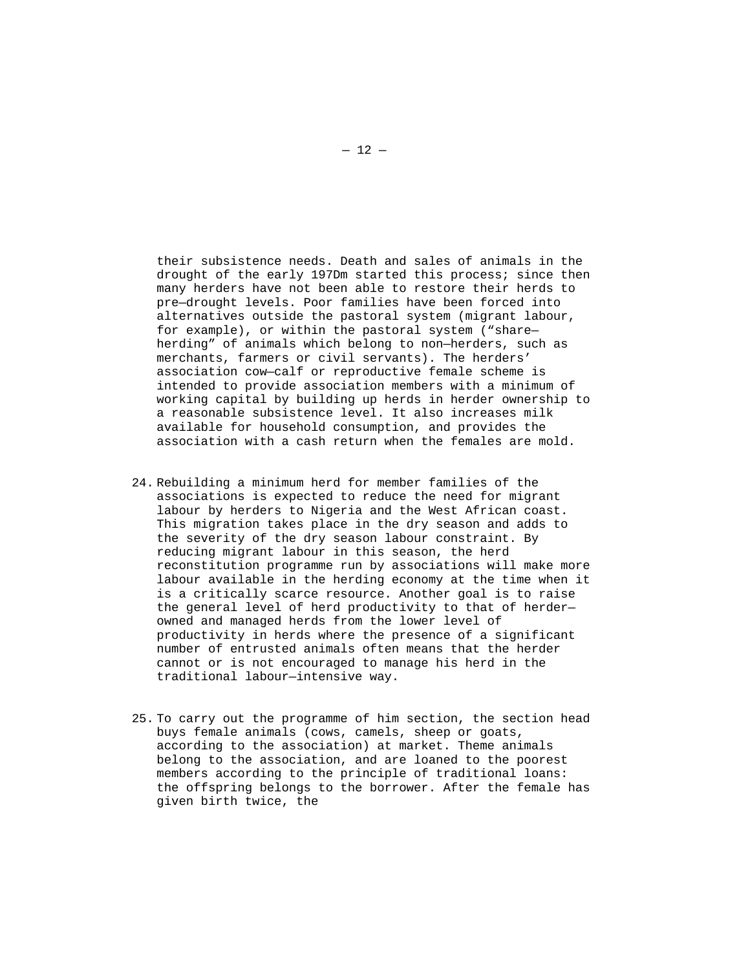their subsistence needs. Death and sales of animals in the drought of the early 197Dm started this process; since then many herders have not been able to restore their herds to pre—drought levels. Poor families have been forced into alternatives outside the pastoral system (migrant labour, for example), or within the pastoral system ("share herding" of animals which belong to non—herders, such as merchants, farmers or civil servants). The herders' association cow—calf or reproductive female scheme is intended to provide association members with a minimum of working capital by building up herds in herder ownership to a reasonable subsistence level. It also increases milk available for household consumption, and provides the association with a cash return when the females are mold.

- 24. Rebuilding a minimum herd for member families of the associations is expected to reduce the need for migrant labour by herders to Nigeria and the West African coast. This migration takes place in the dry season and adds to the severity of the dry season labour constraint. By reducing migrant labour in this season, the herd reconstitution programme run by associations will make more labour available in the herding economy at the time when it is a critically scarce resource. Another goal is to raise the general level of herd productivity to that of herder owned and managed herds from the lower level of productivity in herds where the presence of a significant number of entrusted animals often means that the herder cannot or is not encouraged to manage his herd in the traditional labour—intensive way.
- 25. To carry out the programme of him section, the section head buys female animals (cows, camels, sheep or goats, according to the association) at market. Theme animals belong to the association, and are loaned to the poorest members according to the principle of traditional loans: the offspring belongs to the borrower. After the female has given birth twice, the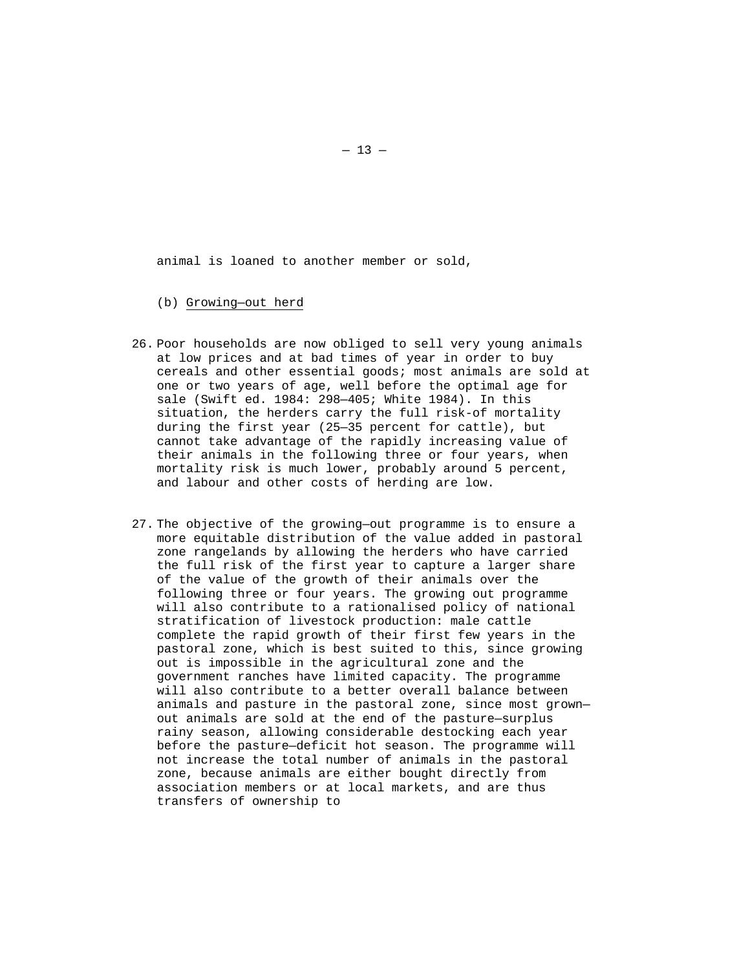animal is loaned to another member or sold,

- (b) Growing—out herd
- 26. Poor households are now obliged to sell very young animals at low prices and at bad times of year in order to buy cereals and other essential goods; most animals are sold at one or two years of age, well before the optimal age for sale (Swift ed. 1984: 298—405; White 1984). In this situation, the herders carry the full risk-of mortality during the first year (25—35 percent for cattle), but cannot take advantage of the rapidly increasing value of their animals in the following three or four years, when mortality risk is much lower, probably around 5 percent, and labour and other costs of herding are low.
- 27. The objective of the growing—out programme is to ensure a more equitable distribution of the value added in pastoral zone rangelands by allowing the herders who have carried the full risk of the first year to capture a larger share of the value of the growth of their animals over the following three or four years. The growing out programme will also contribute to a rationalised policy of national stratification of livestock production: male cattle complete the rapid growth of their first few years in the pastoral zone, which is best suited to this, since growing out is impossible in the agricultural zone and the government ranches have limited capacity. The programme will also contribute to a better overall balance between animals and pasture in the pastoral zone, since most grown out animals are sold at the end of the pasture—surplus rainy season, allowing considerable destocking each year before the pasture—deficit hot season. The programme will not increase the total number of animals in the pastoral zone, because animals are either bought directly from association members or at local markets, and are thus transfers of ownership to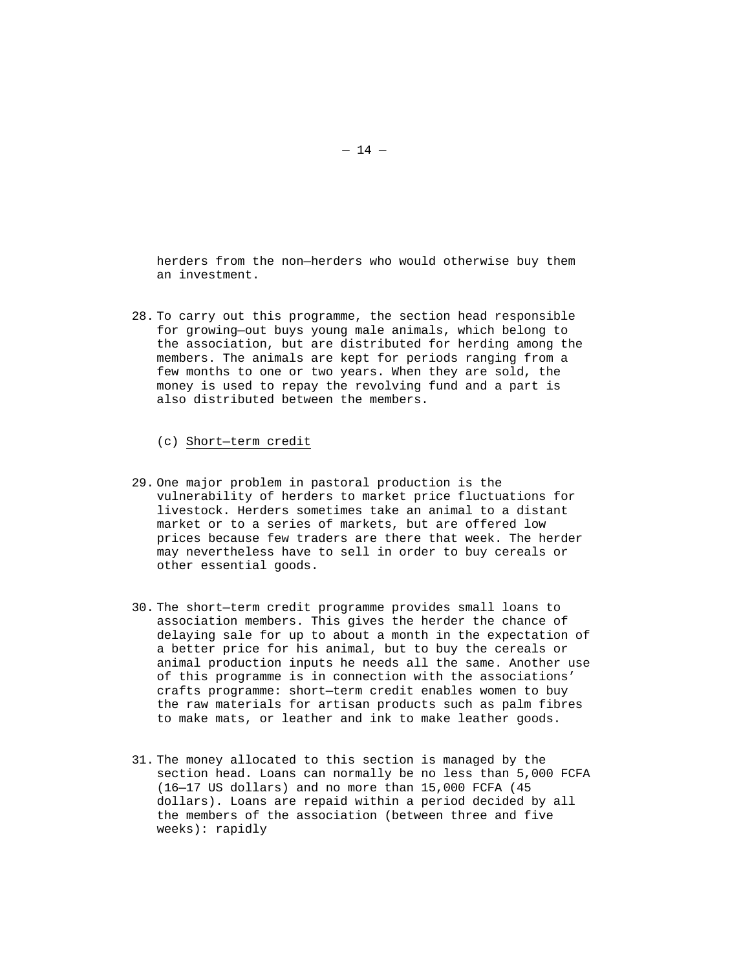herders from the non—herders who would otherwise buy them an investment.

- 28. To carry out this programme, the section head responsible for growing—out buys young male animals, which belong to the association, but are distributed for herding among the members. The animals are kept for periods ranging from a few months to one or two years. When they are sold, the money is used to repay the revolving fund and a part is also distributed between the members.
	- (c) Short—term credit
- 29. One major problem in pastoral production is the vulnerability of herders to market price fluctuations for livestock. Herders sometimes take an animal to a distant market or to a series of markets, but are offered low prices because few traders are there that week. The herder may nevertheless have to sell in order to buy cereals or other essential goods.
- 30. The short—term credit programme provides small loans to association members. This gives the herder the chance of delaying sale for up to about a month in the expectation of a better price for his animal, but to buy the cereals or animal production inputs he needs all the same. Another use of this programme is in connection with the associations' crafts programme: short—term credit enables women to buy the raw materials for artisan products such as palm fibres to make mats, or leather and ink to make leather goods.
- 31. The money allocated to this section is managed by the section head. Loans can normally be no less than 5,000 FCFA (16—17 US dollars) and no more than 15,000 FCFA (45 dollars). Loans are repaid within a period decided by all the members of the association (between three and five weeks): rapidly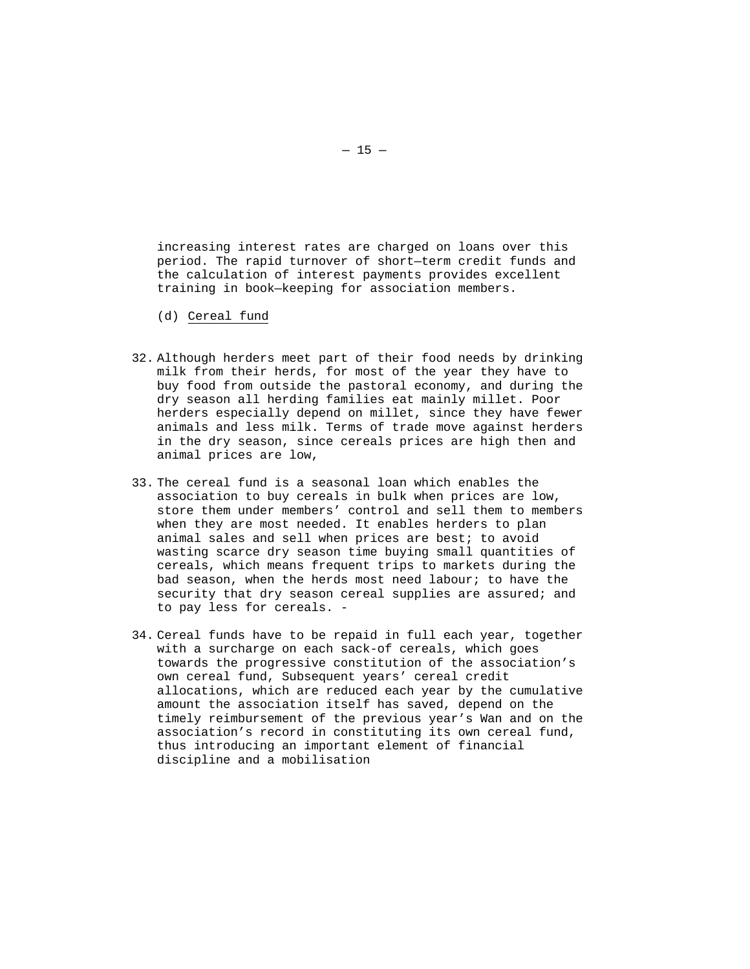increasing interest rates are charged on loans over this period. The rapid turnover of short—term credit funds and the calculation of interest payments provides excellent training in book—keeping for association members.

- (d) Cereal fund
- 32. Although herders meet part of their food needs by drinking milk from their herds, for most of the year they have to buy food from outside the pastoral economy, and during the dry season all herding families eat mainly millet. Poor herders especially depend on millet, since they have fewer animals and less milk. Terms of trade move against herders in the dry season, since cereals prices are high then and animal prices are low,
- 33. The cereal fund is a seasonal loan which enables the association to buy cereals in bulk when prices are low, store them under members' control and sell them to members when they are most needed. It enables herders to plan animal sales and sell when prices are best; to avoid wasting scarce dry season time buying small quantities of cereals, which means frequent trips to markets during the bad season, when the herds most need labour; to have the security that dry season cereal supplies are assured; and to pay less for cereals. -
- 34. Cereal funds have to be repaid in full each year, together with a surcharge on each sack-of cereals, which goes towards the progressive constitution of the association's own cereal fund, Subsequent years' cereal credit allocations, which are reduced each year by the cumulative amount the association itself has saved, depend on the timely reimbursement of the previous year's Wan and on the association's record in constituting its own cereal fund, thus introducing an important element of financial discipline and a mobilisation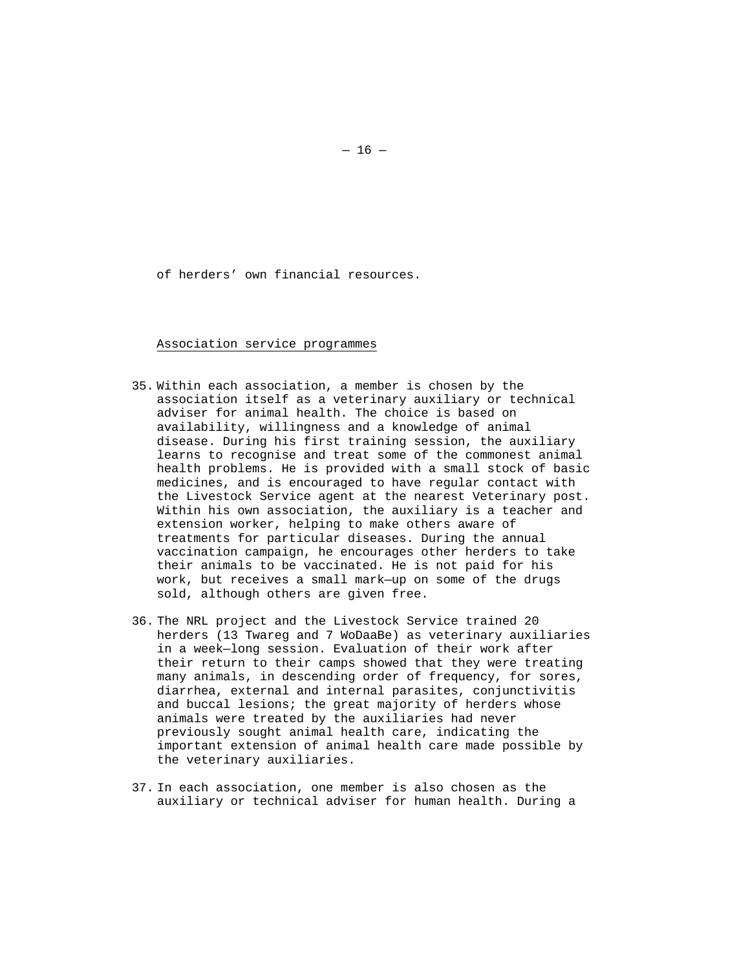of herders' own financial resources.

Association service programmes

- 35. Within each association, a member is chosen by the association itself as a veterinary auxiliary or technical adviser for animal health. The choice is based on availability, willingness and a knowledge of animal disease. During his first training session, the auxiliary learns to recognise and treat some of the commonest animal health problems. He is provided with a small stock of basic medicines, and is encouraged to have regular contact with the Livestock Service agent at the nearest Veterinary post. Within his own association, the auxiliary is a teacher and extension worker, helping to make others aware of treatments for particular diseases. During the annual vaccination campaign, he encourages other herders to take their animals to be vaccinated. He is not paid for his work, but receives a small mark—up on some of the drugs sold, although others are given free.
- 36. The NRL project and the Livestock Service trained 20 herders (13 Twareg and 7 WoDaaBe) as veterinary auxiliaries in a week—long session. Evaluation of their work after their return to their camps showed that they were treating many animals, in descending order of frequency, for sores, diarrhea, external and internal parasites, conjunctivitis and buccal lesions; the great majority of herders whose animals were treated by the auxiliaries had never previously sought animal health care, indicating the important extension of animal health care made possible by the veterinary auxiliaries.
- 37. In each association, one member is also chosen as the auxiliary or technical adviser for human health. During a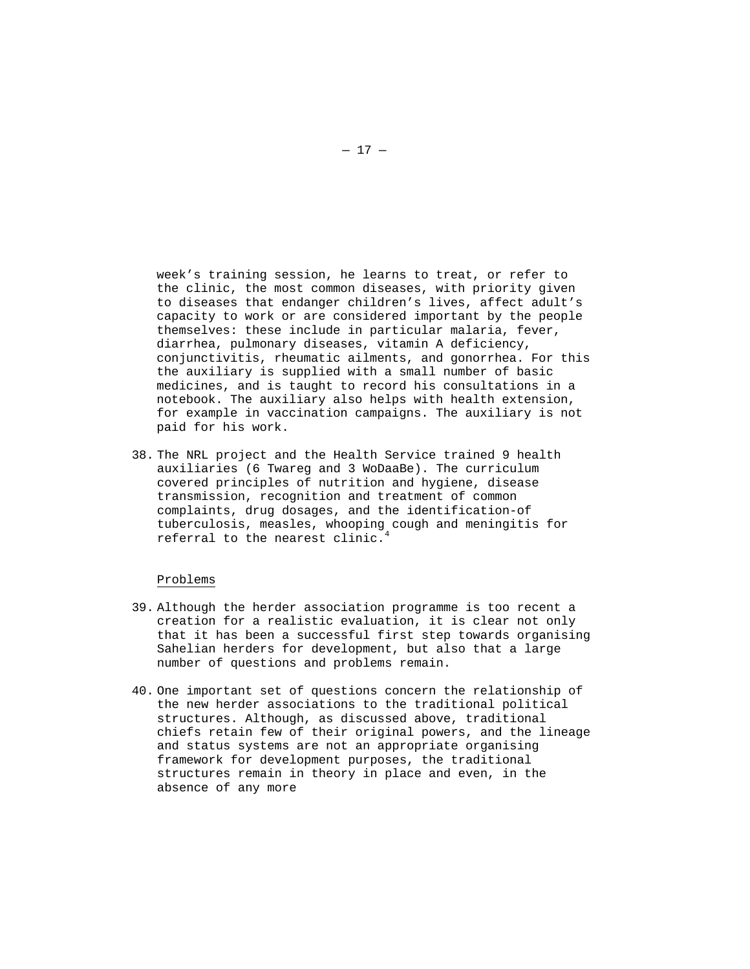week's training session, he learns to treat, or refer to the clinic, the most common diseases, with priority given to diseases that endanger children's lives, affect adult's capacity to work or are considered important by the people themselves: these include in particular malaria, fever, diarrhea, pulmonary diseases, vitamin A deficiency, conjunctivitis, rheumatic ailments, and gonorrhea. For this the auxiliary is supplied with a small number of basic medicines, and is taught to record his consultations in a notebook. The auxiliary also helps with health extension, for example in vaccination campaigns. The auxiliary is not paid for his work.

38. The NRL project and the Health Service trained 9 health auxiliaries (6 Twareg and 3 WoDaaBe). The curriculum covered principles of nutrition and hygiene, disease transmission, recognition and treatment of common complaints, drug dosages, and the identification-of tuberculosis, measles, whooping cough and meningitis for referral to the nearest clinic.

### Problems

- 39. Although the herder association programme is too recent a creation for a realistic evaluation, it is clear not only that it has been a successful first step towards organising Sahelian herders for development, but also that a large number of questions and problems remain.
- 40. One important set of questions concern the relationship of the new herder associations to the traditional political structures. Although, as discussed above, traditional chiefs retain few of their original powers, and the lineage and status systems are not an appropriate organising framework for development purposes, the traditional structures remain in theory in place and even, in the absence of any more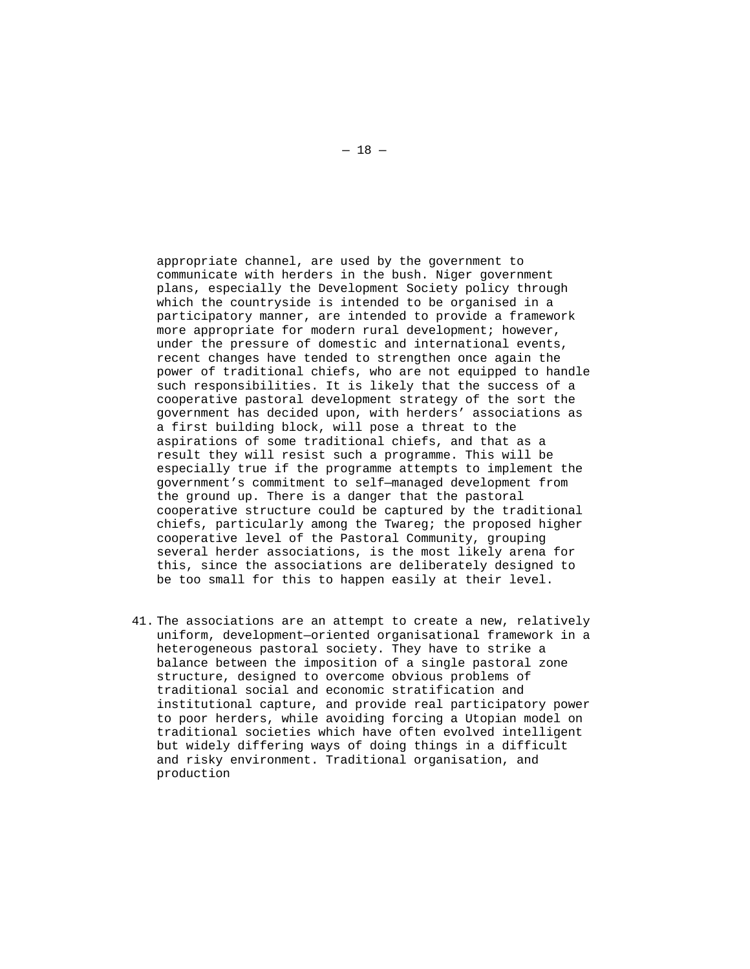appropriate channel, are used by the government to communicate with herders in the bush. Niger government plans, especially the Development Society policy through which the countryside is intended to be organised in a participatory manner, are intended to provide a framework more appropriate for modern rural development; however, under the pressure of domestic and international events, recent changes have tended to strengthen once again the power of traditional chiefs, who are not equipped to handle such responsibilities. It is likely that the success of a cooperative pastoral development strategy of the sort the government has decided upon, with herders' associations as a first building block, will pose a threat to the aspirations of some traditional chiefs, and that as a result they will resist such a programme. This will be especially true if the programme attempts to implement the government's commitment to self—managed development from the ground up. There is a danger that the pastoral cooperative structure could be captured by the traditional chiefs, particularly among the Twareg; the proposed higher cooperative level of the Pastoral Community, grouping several herder associations, is the most likely arena for this, since the associations are deliberately designed to be too small for this to happen easily at their level.

41. The associations are an attempt to create a new, relatively uniform, development—oriented organisational framework in a heterogeneous pastoral society. They have to strike a balance between the imposition of a single pastoral zone structure, designed to overcome obvious problems of traditional social and economic stratification and institutional capture, and provide real participatory power to poor herders, while avoiding forcing a Utopian model on traditional societies which have often evolved intelligent but widely differing ways of doing things in a difficult and risky environment. Traditional organisation, and production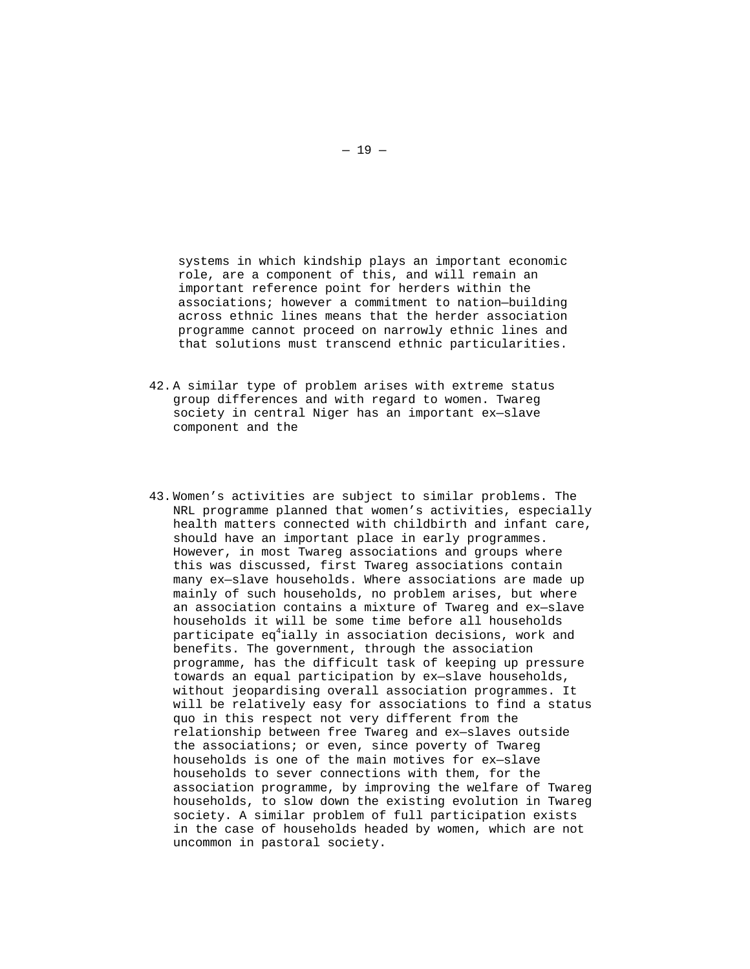systems in which kindship plays an important economic role, are a component of this, and will remain an important reference point for herders within the associations; however a commitment to nation—building across ethnic lines means that the herder association programme cannot proceed on narrowly ethnic lines and that solutions must transcend ethnic particularities.

- 42. A similar type of problem arises with extreme status group differences and with regard to women. Twareg society in central Niger has an important ex—slave component and the
- 43. Women's activities are subject to similar problems. The NRL programme planned that women's activities, especially health matters connected with childbirth and infant care, should have an important place in early programmes. However, in most Twareg associations and groups where this was discussed, first Twareg associations contain many ex—slave households. Where associations are made up mainly of such households, no problem arises, but where an association contains a mixture of Twareg and ex—slave households it will be some time before all households participate eq $^4$ ially in association decisions, work and benefits. The government, through the association programme, has the difficult task of keeping up pressure towards an equal participation by ex—slave households, without jeopardising overall association programmes. It will be relatively easy for associations to find a status quo in this respect not very different from the relationship between free Twareg and ex—slaves outside the associations; or even, since poverty of Twareg households is one of the main motives for ex—slave households to sever connections with them, for the association programme, by improving the welfare of Twareg households, to slow down the existing evolution in Twareg society. A similar problem of full participation exists in the case of households headed by women, which are not uncommon in pastoral society.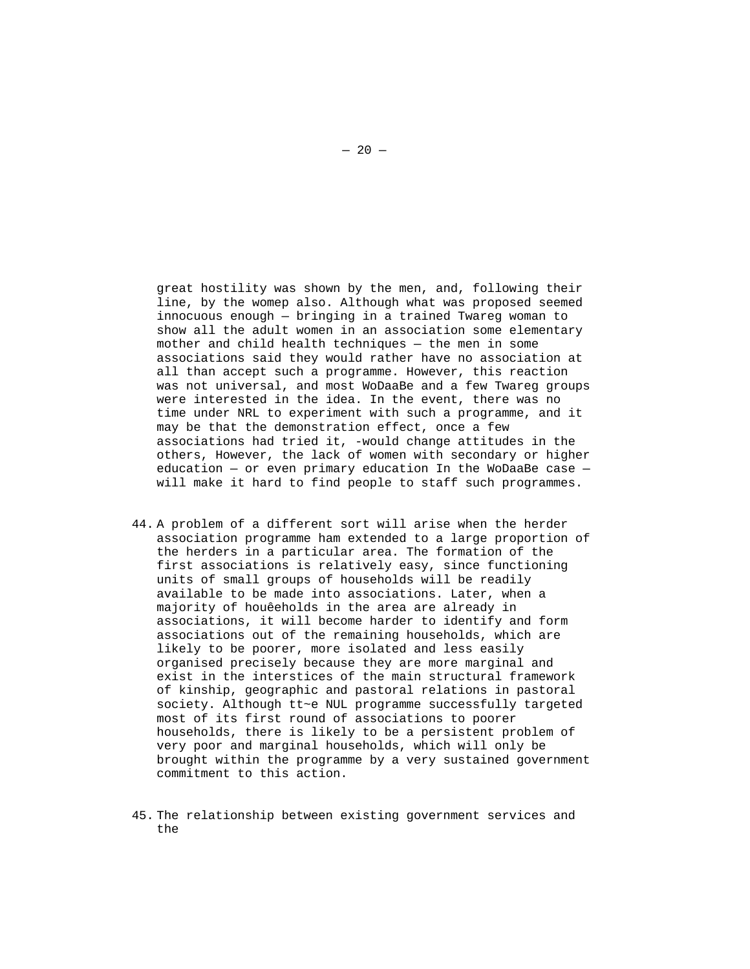great hostility was shown by the men, and, following their line, by the womep also. Although what was proposed seemed innocuous enough — bringing in a trained Twareg woman to show all the adult women in an association some elementary mother and child health techniques — the men in some associations said they would rather have no association at all than accept such a programme. However, this reaction was not universal, and most WoDaaBe and a few Twareg groups were interested in the idea. In the event, there was no time under NRL to experiment with such a programme, and it may be that the demonstration effect, once a few associations had tried it, -would change attitudes in the others, However, the lack of women with secondary or higher education  $-$  or even primary education In the WoDaaBe case  $$ will make it hard to find people to staff such programmes.

- 44. A problem of a different sort will arise when the herder association programme ham extended to a large proportion of the herders in a particular area. The formation of the first associations is relatively easy, since functioning units of small groups of households will be readily available to be made into associations. Later, when a majority of houêeholds in the area are already in associations, it will become harder to identify and form associations out of the remaining households, which are likely to be poorer, more isolated and less easily organised precisely because they are more marginal and exist in the interstices of the main structural framework of kinship, geographic and pastoral relations in pastoral society. Although tt~e NUL programme successfully targeted most of its first round of associations to poorer households, there is likely to be a persistent problem of very poor and marginal households, which will only be brought within the programme by a very sustained government commitment to this action.
- 45. The relationship between existing government services and the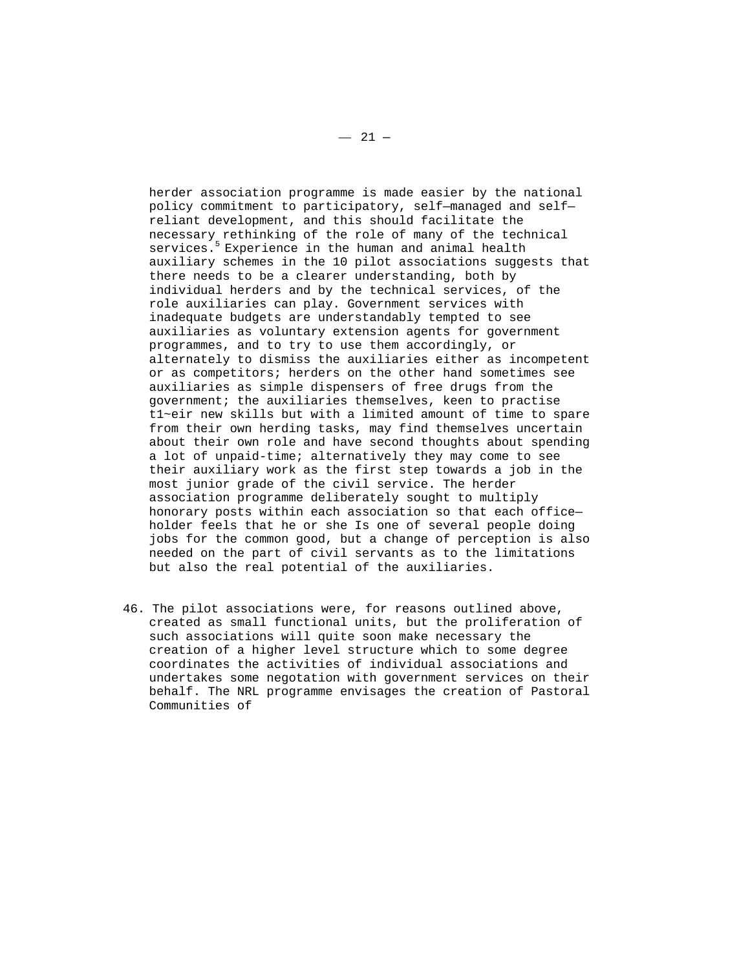herder association programme is made easier by the national policy commitment to participatory, self—managed and self reliant development, and this should facilitate the necessary rethinking of the role of many of the technical services.<sup>5</sup> Experience in the human and animal health auxiliary schemes in the 10 pilot associations suggests that there needs to be a clearer understanding, both by individual herders and by the technical services, of the role auxiliaries can play. Government services with inadequate budgets are understandably tempted to see auxiliaries as voluntary extension agents for government programmes, and to try to use them accordingly, or alternately to dismiss the auxiliaries either as incompetent or as competitors; herders on the other hand sometimes see auxiliaries as simple dispensers of free drugs from the government; the auxiliaries themselves, keen to practise t1~eir new skills but with a limited amount of time to spare from their own herding tasks, may find themselves uncertain about their own role and have second thoughts about spending a lot of unpaid-time; alternatively they may come to see their auxiliary work as the first step towards a job in the most junior grade of the civil service. The herder association programme deliberately sought to multiply honorary posts within each association so that each office holder feels that he or she Is one of several people doing jobs for the common good, but a change of perception is also needed on the part of civil servants as to the limitations but also the real potential of the auxiliaries.

46. The pilot associations were, for reasons outlined above, created as small functional units, but the proliferation of such associations will quite soon make necessary the creation of a higher level structure which to some degree coordinates the activities of individual associations and undertakes some negotation with government services on their behalf. The NRL programme envisages the creation of Pastoral Communities of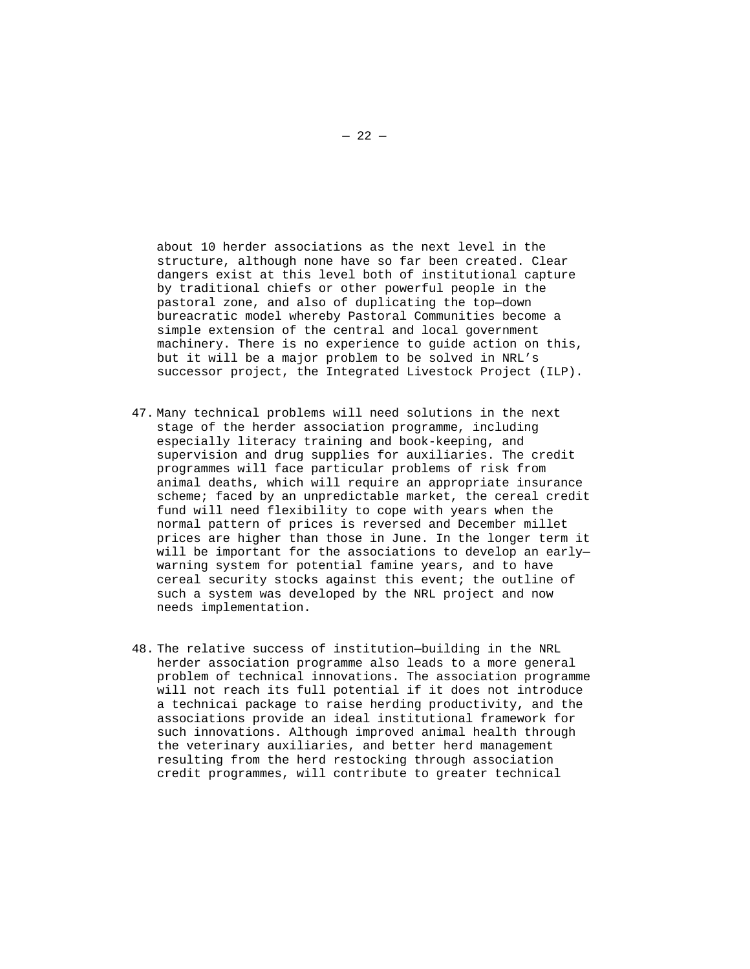about 10 herder associations as the next level in the structure, although none have so far been created. Clear dangers exist at this level both of institutional capture by traditional chiefs or other powerful people in the pastoral zone, and also of duplicating the top—down bureacratic model whereby Pastoral Communities become a simple extension of the central and local government machinery. There is no experience to guide action on this, but it will be a major problem to be solved in NRL's successor project, the Integrated Livestock Project (ILP).

- 47. Many technical problems will need solutions in the next stage of the herder association programme, including especially literacy training and book-keeping, and supervision and drug supplies for auxiliaries. The credit programmes will face particular problems of risk from animal deaths, which will require an appropriate insurance scheme; faced by an unpredictable market, the cereal credit fund will need flexibility to cope with years when the normal pattern of prices is reversed and December millet prices are higher than those in June. In the longer term it will be important for the associations to develop an early warning system for potential famine years, and to have cereal security stocks against this event; the outline of such a system was developed by the NRL project and now needs implementation.
- 48. The relative success of institution—building in the NRL herder association programme also leads to a more general problem of technical innovations. The association programme will not reach its full potential if it does not introduce a technicai package to raise herding productivity, and the associations provide an ideal institutional framework for such innovations. Although improved animal health through the veterinary auxiliaries, and better herd management resulting from the herd restocking through association credit programmes, will contribute to greater technical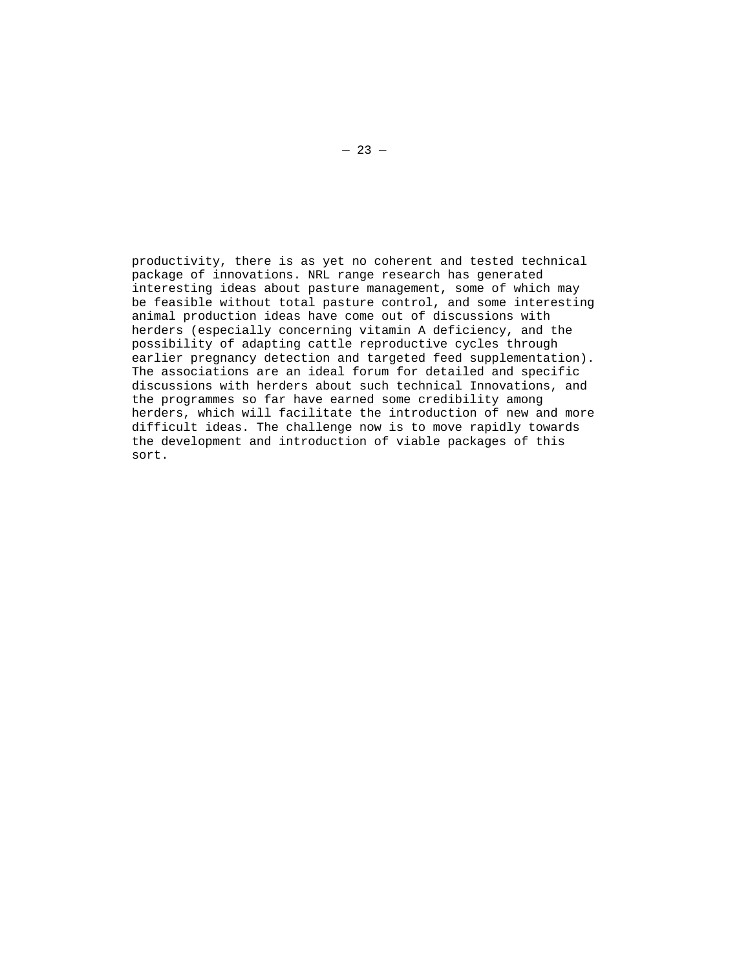productivity, there is as yet no coherent and tested technical package of innovations. NRL range research has generated interesting ideas about pasture management, some of which may be feasible without total pasture control, and some interesting animal production ideas have come out of discussions with herders (especially concerning vitamin A deficiency, and the possibility of adapting cattle reproductive cycles through earlier pregnancy detection and targeted feed supplementation). The associations are an ideal forum for detailed and specific discussions with herders about such technical Innovations, and the programmes so far have earned some credibility among herders, which will facilitate the introduction of new and more difficult ideas. The challenge now is to move rapidly towards the development and introduction of viable packages of this sort.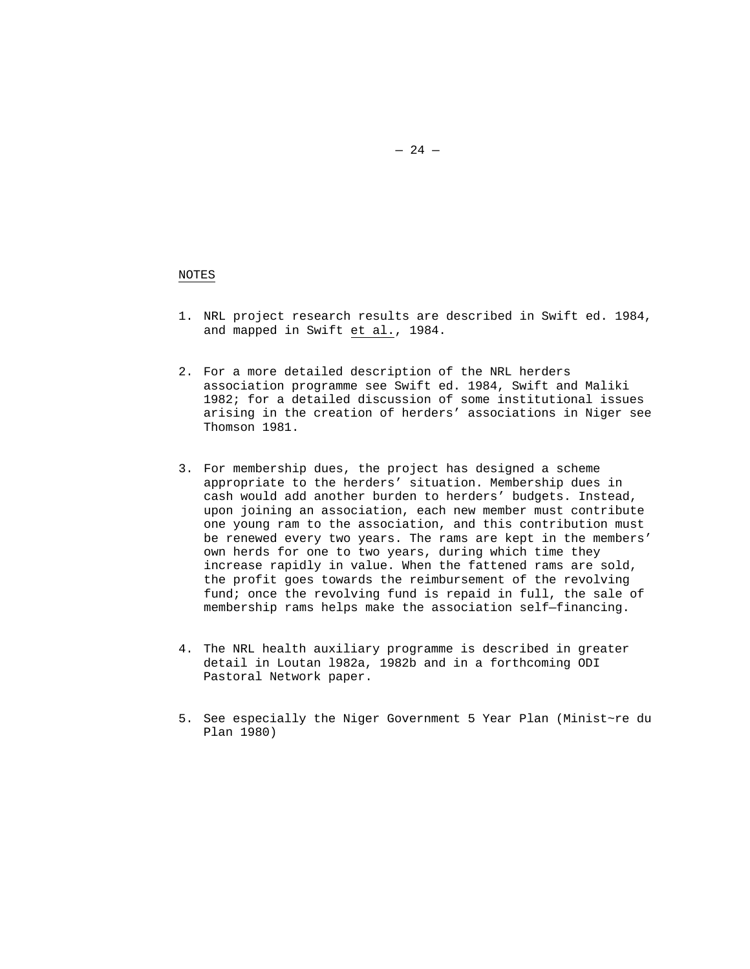## NOTES

- 1. NRL project research results are described in Swift ed. 1984, and mapped in Swift et al., 1984.
- 2. For a more detailed description of the NRL herders association programme see Swift ed. 1984, Swift and Maliki 1982; for a detailed discussion of some institutional issues arising in the creation of herders' associations in Niger see Thomson 1981.
- 3. For membership dues, the project has designed a scheme appropriate to the herders' situation. Membership dues in cash would add another burden to herders' budgets. Instead, upon joining an association, each new member must contribute one young ram to the association, and this contribution must be renewed every two years. The rams are kept in the members' own herds for one to two years, during which time they increase rapidly in value. When the fattened rams are sold, the profit goes towards the reimbursement of the revolving fund; once the revolving fund is repaid in full, the sale of membership rams helps make the association self—financing.
- 4. The NRL health auxiliary programme is described in greater detail in Loutan l982a, 1982b and in a forthcoming ODI Pastoral Network paper.
- 5. See especially the Niger Government 5 Year Plan (Minist~re du Plan 1980)